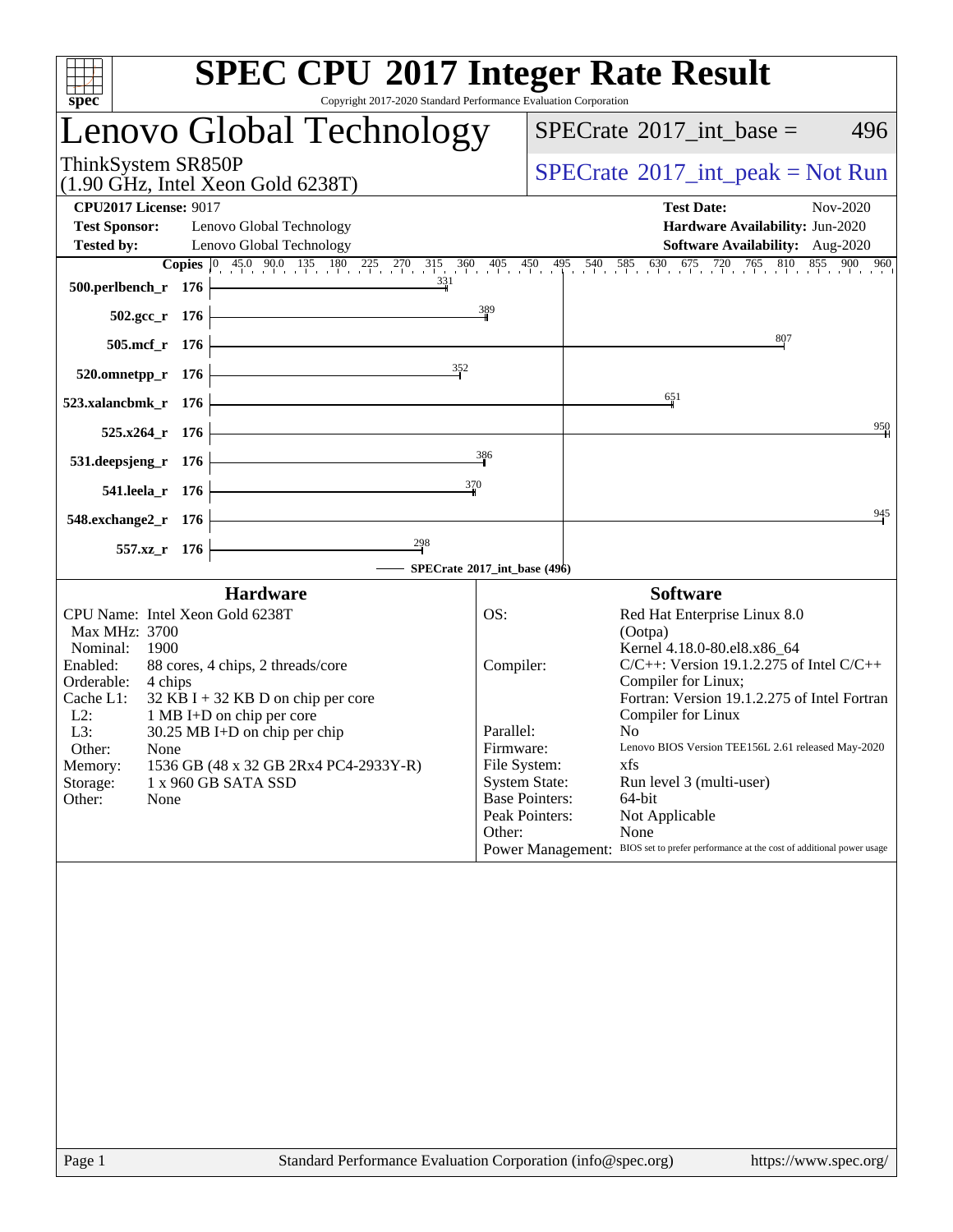| <b>SPEC CPU®2017 Integer Rate Result</b><br>Copyright 2017-2020 Standard Performance Evaluation Corporation<br>spec <sup>®</sup>                                                                                                                                                                                                                                                                                                                      |                                                                                                                                                                                                                                                                                                                                                                                                                                                                                                                                                                               |  |  |  |
|-------------------------------------------------------------------------------------------------------------------------------------------------------------------------------------------------------------------------------------------------------------------------------------------------------------------------------------------------------------------------------------------------------------------------------------------------------|-------------------------------------------------------------------------------------------------------------------------------------------------------------------------------------------------------------------------------------------------------------------------------------------------------------------------------------------------------------------------------------------------------------------------------------------------------------------------------------------------------------------------------------------------------------------------------|--|--|--|
| Lenovo Global Technology                                                                                                                                                                                                                                                                                                                                                                                                                              | $SPECTate$ <sup>®</sup> 2017_int_base =<br>496                                                                                                                                                                                                                                                                                                                                                                                                                                                                                                                                |  |  |  |
| ThinkSystem SR850P<br>$(1.90 \text{ GHz}, \text{Intel Xeon Gold } 6238 \text{T})$                                                                                                                                                                                                                                                                                                                                                                     | $SPECTate@2017_int\_peak = Not Run$                                                                                                                                                                                                                                                                                                                                                                                                                                                                                                                                           |  |  |  |
| <b>CPU2017 License: 9017</b><br><b>Test Sponsor:</b><br>Lenovo Global Technology<br><b>Tested by:</b><br>Lenovo Global Technology                                                                                                                                                                                                                                                                                                                     | <b>Test Date:</b><br>Nov-2020<br>Hardware Availability: Jun-2020<br>Software Availability: Aug-2020                                                                                                                                                                                                                                                                                                                                                                                                                                                                           |  |  |  |
| 331<br>500.perlbench_r 176                                                                                                                                                                                                                                                                                                                                                                                                                            | <b>Copies</b> $\begin{bmatrix} 0 & 45.0 & 90.0 & 135 & 180 & 225 & 270 & 315 & 360 & 405 & 450 & 495 & 540 & 585 & 630 & 675 & 720 & 765 & 810 & 855 & 900 & 960 \end{bmatrix}$                                                                                                                                                                                                                                                                                                                                                                                               |  |  |  |
| 389<br>$502.\text{gcc}_r$ 176                                                                                                                                                                                                                                                                                                                                                                                                                         |                                                                                                                                                                                                                                                                                                                                                                                                                                                                                                                                                                               |  |  |  |
| $505.\text{mcf}_r$ 176<br>352<br>$520.0$ mnetpp_r 176                                                                                                                                                                                                                                                                                                                                                                                                 | $\frac{807}{2}$                                                                                                                                                                                                                                                                                                                                                                                                                                                                                                                                                               |  |  |  |
| 523.xalancbmk_r 176                                                                                                                                                                                                                                                                                                                                                                                                                                   | 651                                                                                                                                                                                                                                                                                                                                                                                                                                                                                                                                                                           |  |  |  |
| $525.x264$ r 176                                                                                                                                                                                                                                                                                                                                                                                                                                      | 950                                                                                                                                                                                                                                                                                                                                                                                                                                                                                                                                                                           |  |  |  |
| 386<br>531.deepsjeng_r 176<br>370                                                                                                                                                                                                                                                                                                                                                                                                                     |                                                                                                                                                                                                                                                                                                                                                                                                                                                                                                                                                                               |  |  |  |
| 541.leela_r 176<br>548.exchange2_r 176                                                                                                                                                                                                                                                                                                                                                                                                                | 945                                                                                                                                                                                                                                                                                                                                                                                                                                                                                                                                                                           |  |  |  |
| $\frac{298}{ }$<br>557.xz_r 176                                                                                                                                                                                                                                                                                                                                                                                                                       |                                                                                                                                                                                                                                                                                                                                                                                                                                                                                                                                                                               |  |  |  |
| - SPECrate®2017_int_base (496)<br><b>Hardware</b>                                                                                                                                                                                                                                                                                                                                                                                                     | <b>Software</b>                                                                                                                                                                                                                                                                                                                                                                                                                                                                                                                                                               |  |  |  |
| CPU Name: Intel Xeon Gold 6238T<br>OS:<br>Max MHz: 3700<br>Nominal:<br>1900<br>Enabled:<br>88 cores, 4 chips, 2 threads/core<br>Orderable:<br>4 chips<br>Cache L1:<br>$32$ KB I + 32 KB D on chip per core<br>$L2$ :<br>1 MB I+D on chip per core<br>Parallel:<br>L3:<br>$30.25 \text{ MB}$ I+D on chip per chip<br>Other:<br>None<br>1536 GB (48 x 32 GB 2Rx4 PC4-2933Y-R)<br>Memory:<br>Storage:<br>1 x 960 GB SATA SSD<br>Other:<br>None<br>Other: | Red Hat Enterprise Linux 8.0<br>(Ootpa)<br>Kernel 4.18.0-80.el8.x86 64<br>$C/C++$ : Version 19.1.2.275 of Intel $C/C++$<br>Compiler:<br>Compiler for Linux;<br>Fortran: Version 19.1.2.275 of Intel Fortran<br>Compiler for Linux<br>N <sub>0</sub><br>Lenovo BIOS Version TEE156L 2.61 released May-2020<br>Firmware:<br>File System:<br>xfs<br><b>System State:</b><br>Run level 3 (multi-user)<br><b>Base Pointers:</b><br>$64$ -bit<br>Peak Pointers:<br>Not Applicable<br>None<br>Power Management: BIOS set to prefer performance at the cost of additional power usage |  |  |  |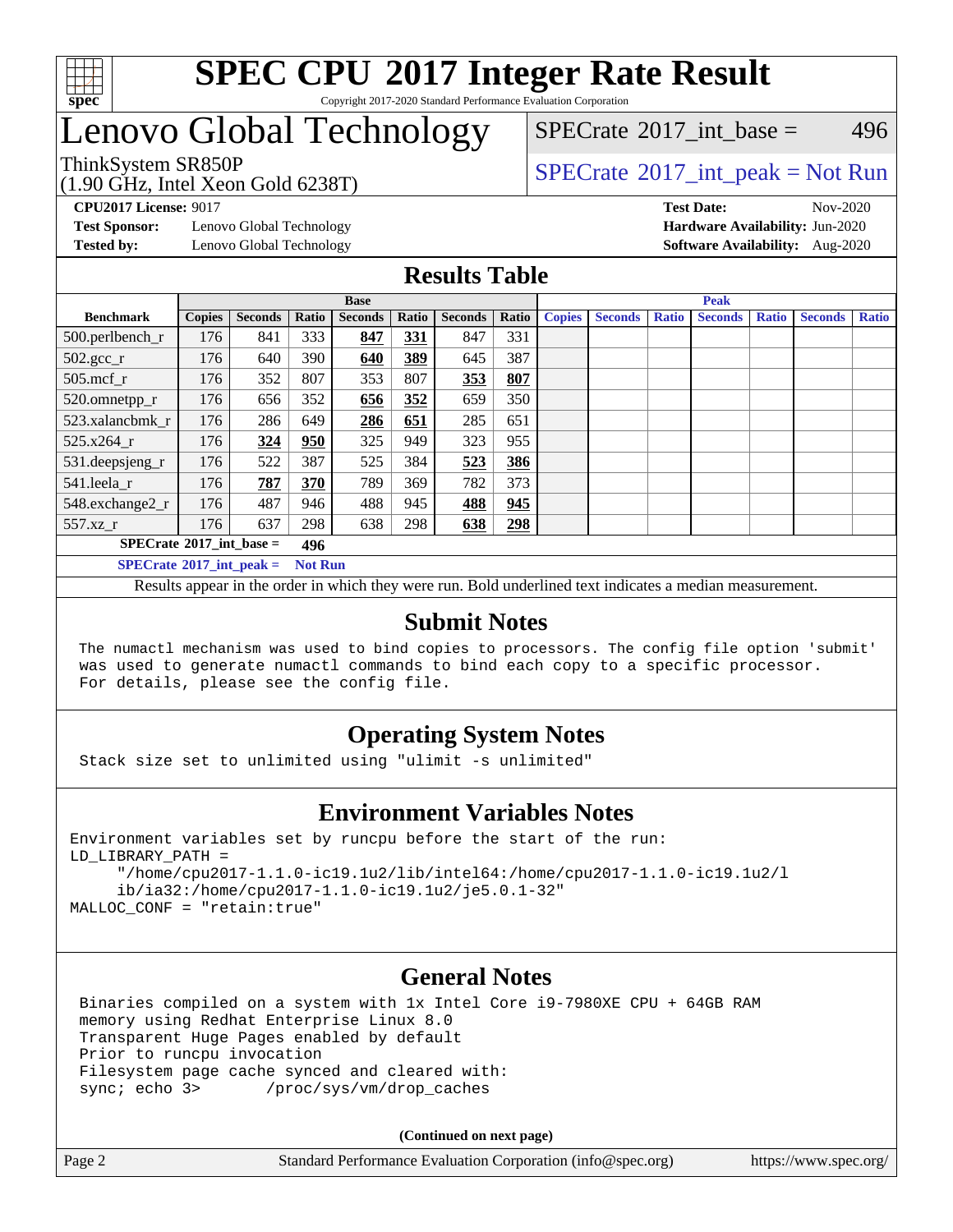

### **[SPEC CPU](http://www.spec.org/auto/cpu2017/Docs/result-fields.html#SPECCPU2017IntegerRateResult)[2017 Integer Rate Result](http://www.spec.org/auto/cpu2017/Docs/result-fields.html#SPECCPU2017IntegerRateResult)** Copyright 2017-2020 Standard Performance Evaluation Corporation

# Lenovo Global Technology

(1.90 GHz, Intel Xeon Gold 6238T)

ThinkSystem SR850P<br>(1.00 CHz, Intel Year Cald 6228T)  $\begin{array}{c} \text{SPECrate} \textcirc 2017 \text{ int peak} = \text{Not Run} \end{array}$  $\begin{array}{c} \text{SPECrate} \textcirc 2017 \text{ int peak} = \text{Not Run} \end{array}$  $\begin{array}{c} \text{SPECrate} \textcirc 2017 \text{ int peak} = \text{Not Run} \end{array}$ [SPECrate](http://www.spec.org/auto/cpu2017/Docs/result-fields.html#SPECrate2017intbase)<sup>®</sup>2017 int base = 496

**[Test Sponsor:](http://www.spec.org/auto/cpu2017/Docs/result-fields.html#TestSponsor)** Lenovo Global Technology **[Hardware Availability:](http://www.spec.org/auto/cpu2017/Docs/result-fields.html#HardwareAvailability)** Jun-2020

**[CPU2017 License:](http://www.spec.org/auto/cpu2017/Docs/result-fields.html#CPU2017License)** 9017 **[Test Date:](http://www.spec.org/auto/cpu2017/Docs/result-fields.html#TestDate)** Nov-2020 **[Tested by:](http://www.spec.org/auto/cpu2017/Docs/result-fields.html#Testedby)** Lenovo Global Technology **[Software Availability:](http://www.spec.org/auto/cpu2017/Docs/result-fields.html#SoftwareAvailability)** Aug-2020

### **[Results Table](http://www.spec.org/auto/cpu2017/Docs/result-fields.html#ResultsTable)**

|                                                     | <b>Base</b>   |                |       |                | <b>Peak</b> |                |       |               |                |              |                |              |                |              |
|-----------------------------------------------------|---------------|----------------|-------|----------------|-------------|----------------|-------|---------------|----------------|--------------|----------------|--------------|----------------|--------------|
| <b>Benchmark</b>                                    | <b>Copies</b> | <b>Seconds</b> | Ratio | <b>Seconds</b> | Ratio       | <b>Seconds</b> | Ratio | <b>Copies</b> | <b>Seconds</b> | <b>Ratio</b> | <b>Seconds</b> | <b>Ratio</b> | <b>Seconds</b> | <b>Ratio</b> |
| 500.perlbench_r                                     | 176           | 841            | 333   | 847            | 331         | 847            | 331   |               |                |              |                |              |                |              |
| $502.\text{gcc}_r$                                  | 176           | 640            | 390   | 640            | 389         | 645            | 387   |               |                |              |                |              |                |              |
| $505$ .mcf $r$                                      | 176           | 352            | 807   | 353            | 807         | 353            | 807   |               |                |              |                |              |                |              |
| 520.omnetpp_r                                       | 176           | 656            | 352   | 656            | 352         | 659            | 350   |               |                |              |                |              |                |              |
| 523.xalancbmk r                                     | 176           | 286            | 649   | 286            | 651         | 285            | 651   |               |                |              |                |              |                |              |
| 525.x264 r                                          | 176           | 324            | 950   | 325            | 949         | 323            | 955   |               |                |              |                |              |                |              |
| 531.deepsjeng_r                                     | 176           | 522            | 387   | 525            | 384         | 523            | 386   |               |                |              |                |              |                |              |
| 541.leela r                                         | 176           | 787            | 370   | 789            | 369         | 782            | 373   |               |                |              |                |              |                |              |
| 548.exchange2_r                                     | 176           | 487            | 946   | 488            | 945         | 488            | 945   |               |                |              |                |              |                |              |
| 557.xz                                              | 176           | 637            | 298   | 638            | 298         | 638            | 298   |               |                |              |                |              |                |              |
| $SPECrate^{\circ}2017$ int base =<br>496            |               |                |       |                |             |                |       |               |                |              |                |              |                |              |
| $SPECrate^{\circ}2017$ int peak =<br><b>Not Run</b> |               |                |       |                |             |                |       |               |                |              |                |              |                |              |

Results appear in the [order in which they were run](http://www.spec.org/auto/cpu2017/Docs/result-fields.html#RunOrder). Bold underlined text [indicates a median measurement](http://www.spec.org/auto/cpu2017/Docs/result-fields.html#Median).

### **[Submit Notes](http://www.spec.org/auto/cpu2017/Docs/result-fields.html#SubmitNotes)**

 The numactl mechanism was used to bind copies to processors. The config file option 'submit' was used to generate numactl commands to bind each copy to a specific processor. For details, please see the config file.

### **[Operating System Notes](http://www.spec.org/auto/cpu2017/Docs/result-fields.html#OperatingSystemNotes)**

Stack size set to unlimited using "ulimit -s unlimited"

### **[Environment Variables Notes](http://www.spec.org/auto/cpu2017/Docs/result-fields.html#EnvironmentVariablesNotes)**

```
Environment variables set by runcpu before the start of the run:
LD_LIBRARY_PATH =
      "/home/cpu2017-1.1.0-ic19.1u2/lib/intel64:/home/cpu2017-1.1.0-ic19.1u2/l
      ib/ia32:/home/cpu2017-1.1.0-ic19.1u2/je5.0.1-32"
MALLOC_CONF = "retain:true"
```
### **[General Notes](http://www.spec.org/auto/cpu2017/Docs/result-fields.html#GeneralNotes)**

 Binaries compiled on a system with 1x Intel Core i9-7980XE CPU + 64GB RAM memory using Redhat Enterprise Linux 8.0 Transparent Huge Pages enabled by default Prior to runcpu invocation Filesystem page cache synced and cleared with: sync; echo 3> /proc/sys/vm/drop\_caches

**(Continued on next page)**

| Page 2 | Standard Performance Evaluation Corporation (info@spec.org) | https://www.spec.org/ |
|--------|-------------------------------------------------------------|-----------------------|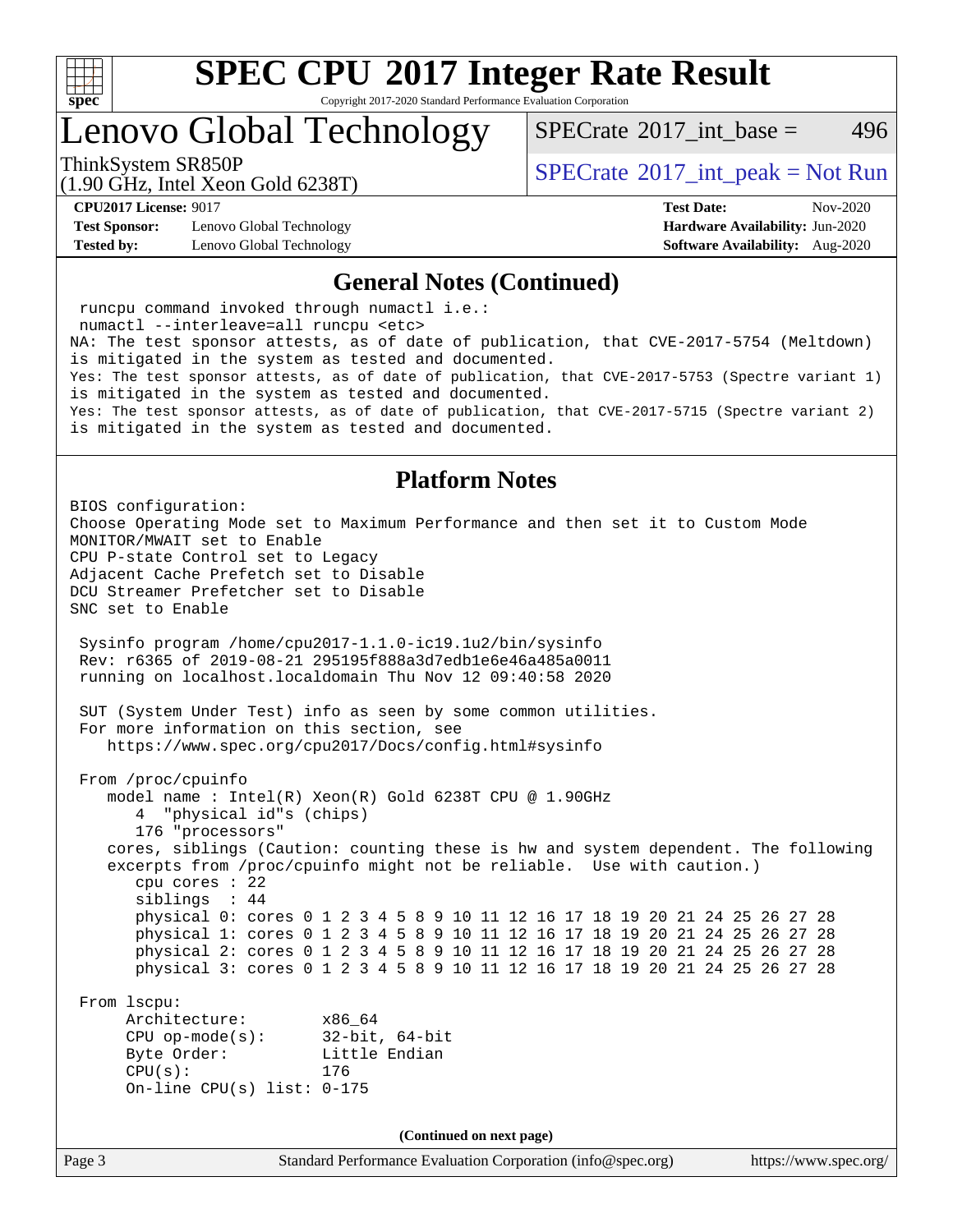

Copyright 2017-2020 Standard Performance Evaluation Corporation

Lenovo Global Technology

[SPECrate](http://www.spec.org/auto/cpu2017/Docs/result-fields.html#SPECrate2017intbase)<sup>®</sup>2017 int base = 496

(1.90 GHz, Intel Xeon Gold 6238T)

ThinkSystem SR850P<br>(1.00 CHz, Intel Year Gald 6229T)  $SPECTR$  [SPECrate](http://www.spec.org/auto/cpu2017/Docs/result-fields.html#SPECrate2017intpeak)®[2017\\_int\\_peak = N](http://www.spec.org/auto/cpu2017/Docs/result-fields.html#SPECrate2017intpeak)ot Run

**[Test Sponsor:](http://www.spec.org/auto/cpu2017/Docs/result-fields.html#TestSponsor)** Lenovo Global Technology **[Hardware Availability:](http://www.spec.org/auto/cpu2017/Docs/result-fields.html#HardwareAvailability)** Jun-2020 **[Tested by:](http://www.spec.org/auto/cpu2017/Docs/result-fields.html#Testedby)** Lenovo Global Technology **[Software Availability:](http://www.spec.org/auto/cpu2017/Docs/result-fields.html#SoftwareAvailability)** Aug-2020

**[CPU2017 License:](http://www.spec.org/auto/cpu2017/Docs/result-fields.html#CPU2017License)** 9017 **[Test Date:](http://www.spec.org/auto/cpu2017/Docs/result-fields.html#TestDate)** Nov-2020

#### **[General Notes \(Continued\)](http://www.spec.org/auto/cpu2017/Docs/result-fields.html#GeneralNotes)**

 runcpu command invoked through numactl i.e.: numactl --interleave=all runcpu <etc> NA: The test sponsor attests, as of date of publication, that CVE-2017-5754 (Meltdown) is mitigated in the system as tested and documented. Yes: The test sponsor attests, as of date of publication, that CVE-2017-5753 (Spectre variant 1) is mitigated in the system as tested and documented. Yes: The test sponsor attests, as of date of publication, that CVE-2017-5715 (Spectre variant 2) is mitigated in the system as tested and documented.

### **[Platform Notes](http://www.spec.org/auto/cpu2017/Docs/result-fields.html#PlatformNotes)**

BIOS configuration: Choose Operating Mode set to Maximum Performance and then set it to Custom Mode MONITOR/MWAIT set to Enable CPU P-state Control set to Legacy Adjacent Cache Prefetch set to Disable DCU Streamer Prefetcher set to Disable SNC set to Enable Sysinfo program /home/cpu2017-1.1.0-ic19.1u2/bin/sysinfo Rev: r6365 of 2019-08-21 295195f888a3d7edb1e6e46a485a0011 running on localhost.localdomain Thu Nov 12 09:40:58 2020 SUT (System Under Test) info as seen by some common utilities. For more information on this section, see <https://www.spec.org/cpu2017/Docs/config.html#sysinfo> From /proc/cpuinfo model name : Intel(R) Xeon(R) Gold 6238T CPU @ 1.90GHz 4 "physical id"s (chips) 176 "processors" cores, siblings (Caution: counting these is hw and system dependent. The following excerpts from /proc/cpuinfo might not be reliable. Use with caution.) cpu cores : 22 siblings : 44 physical 0: cores 0 1 2 3 4 5 8 9 10 11 12 16 17 18 19 20 21 24 25 26 27 28 physical 1: cores 0 1 2 3 4 5 8 9 10 11 12 16 17 18 19 20 21 24 25 26 27 28 physical 2: cores 0 1 2 3 4 5 8 9 10 11 12 16 17 18 19 20 21 24 25 26 27 28 physical 3: cores 0 1 2 3 4 5 8 9 10 11 12 16 17 18 19 20 21 24 25 26 27 28 From lscpu: Architecture: x86\_64 CPU op-mode(s): 32-bit, 64-bit Byte Order: Little Endian CPU(s): 176 On-line CPU(s) list: 0-175 **(Continued on next page)**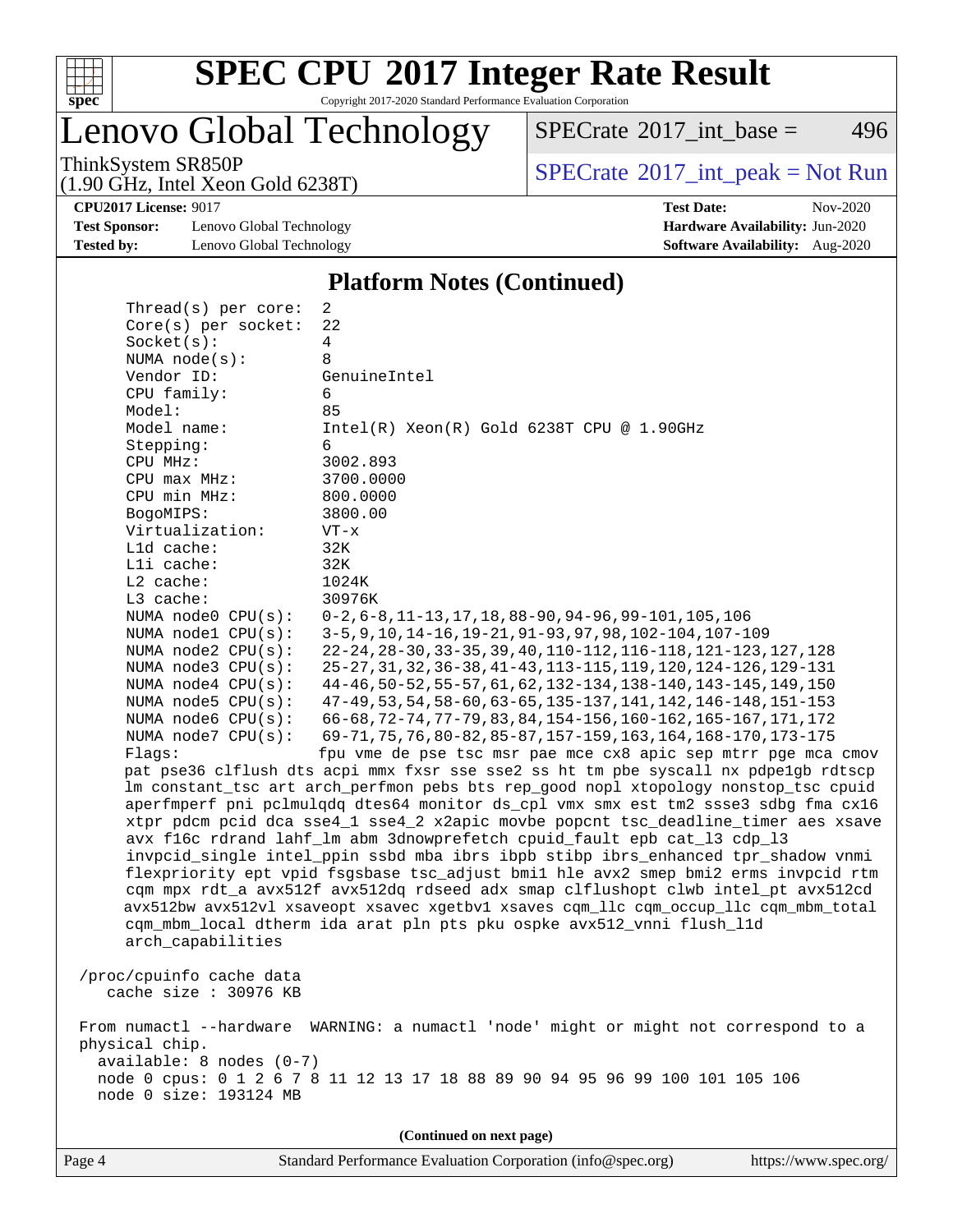

Copyright 2017-2020 Standard Performance Evaluation Corporation

Lenovo Global Technology

 $SPECTate$ <sup>®</sup>[2017\\_int\\_base =](http://www.spec.org/auto/cpu2017/Docs/result-fields.html#SPECrate2017intbase) 496

(1.90 GHz, Intel Xeon Gold 6238T)

ThinkSystem SR850P<br>(1.00 CHz, Intel Year Cald 6228T)  $SPECTR$  [SPECrate](http://www.spec.org/auto/cpu2017/Docs/result-fields.html#SPECrate2017intpeak)®[2017\\_int\\_peak = N](http://www.spec.org/auto/cpu2017/Docs/result-fields.html#SPECrate2017intpeak)ot Run

**[CPU2017 License:](http://www.spec.org/auto/cpu2017/Docs/result-fields.html#CPU2017License)** 9017 **[Test Date:](http://www.spec.org/auto/cpu2017/Docs/result-fields.html#TestDate)** Nov-2020

**[Test Sponsor:](http://www.spec.org/auto/cpu2017/Docs/result-fields.html#TestSponsor)** Lenovo Global Technology **[Hardware Availability:](http://www.spec.org/auto/cpu2017/Docs/result-fields.html#HardwareAvailability)** Jun-2020 **[Tested by:](http://www.spec.org/auto/cpu2017/Docs/result-fields.html#Testedby)** Lenovo Global Technology **[Software Availability:](http://www.spec.org/auto/cpu2017/Docs/result-fields.html#SoftwareAvailability)** Aug-2020

**[Platform Notes \(Continued\)](http://www.spec.org/auto/cpu2017/Docs/result-fields.html#PlatformNotes)**

 Thread(s) per core: 2 Core(s) per socket: 22 Socket(s): 4 NUMA node(s): 8 Vendor ID: GenuineIntel CPU family: 6 Model: 85<br>Model name: 1n Intel(R) Xeon(R) Gold 6238T CPU @ 1.90GHz Stepping: 6 CPU MHz: 3002.893 CPU max MHz: 3700.0000 CPU min MHz: 800.0000 BogoMIPS: 3800.00 Virtualization: VT-x L1d cache: 32K L1i cache: 32K L2 cache: 1024K L3 cache: 30976K NUMA node0 CPU(s): 0-2,6-8,11-13,17,18,88-90,94-96,99-101,105,106 NUMA node1 CPU(s): 3-5,9,10,14-16,19-21,91-93,97,98,102-104,107-109 NUMA node2 CPU(s): 22-24,28-30,33-35,39,40,110-112,116-118,121-123,127,128 NUMA node3 CPU(s): 25-27,31,32,36-38,41-43,113-115,119,120,124-126,129-131 NUMA node4 CPU(s): 44-46,50-52,55-57,61,62,132-134,138-140,143-145,149,150 NUMA node5 CPU(s): 47-49,53,54,58-60,63-65,135-137,141,142,146-148,151-153 NUMA node6 CPU(s): 66-68,72-74,77-79,83,84,154-156,160-162,165-167,171,172 NUMA node7 CPU(s): 69-71,75,76,80-82,85-87,157-159,163,164,168-170,173-175 Flags: fpu vme de pse tsc msr pae mce cx8 apic sep mtrr pge mca cmov pat pse36 clflush dts acpi mmx fxsr sse sse2 ss ht tm pbe syscall nx pdpe1gb rdtscp lm constant\_tsc art arch\_perfmon pebs bts rep\_good nopl xtopology nonstop\_tsc cpuid aperfmperf pni pclmulqdq dtes64 monitor ds\_cpl vmx smx est tm2 ssse3 sdbg fma cx16 xtpr pdcm pcid dca sse4\_1 sse4\_2 x2apic movbe popcnt tsc\_deadline\_timer aes xsave avx f16c rdrand lahf\_lm abm 3dnowprefetch cpuid\_fault epb cat\_l3 cdp\_l3 invpcid\_single intel\_ppin ssbd mba ibrs ibpb stibp ibrs\_enhanced tpr\_shadow vnmi flexpriority ept vpid fsgsbase tsc\_adjust bmi1 hle avx2 smep bmi2 erms invpcid rtm cqm mpx rdt\_a avx512f avx512dq rdseed adx smap clflushopt clwb intel\_pt avx512cd avx512bw avx512vl xsaveopt xsavec xgetbv1 xsaves cqm\_llc cqm\_occup\_llc cqm\_mbm\_total cqm\_mbm\_local dtherm ida arat pln pts pku ospke avx512\_vnni flush\_l1d arch\_capabilities /proc/cpuinfo cache data cache size : 30976 KB From numactl --hardware WARNING: a numactl 'node' might or might not correspond to a physical chip. available: 8 nodes (0-7) node 0 cpus: 0 1 2 6 7 8 11 12 13 17 18 88 89 90 94 95 96 99 100 101 105 106 node 0 size: 193124 MB **(Continued on next page)**

Page 4 Standard Performance Evaluation Corporation [\(info@spec.org\)](mailto:info@spec.org) <https://www.spec.org/>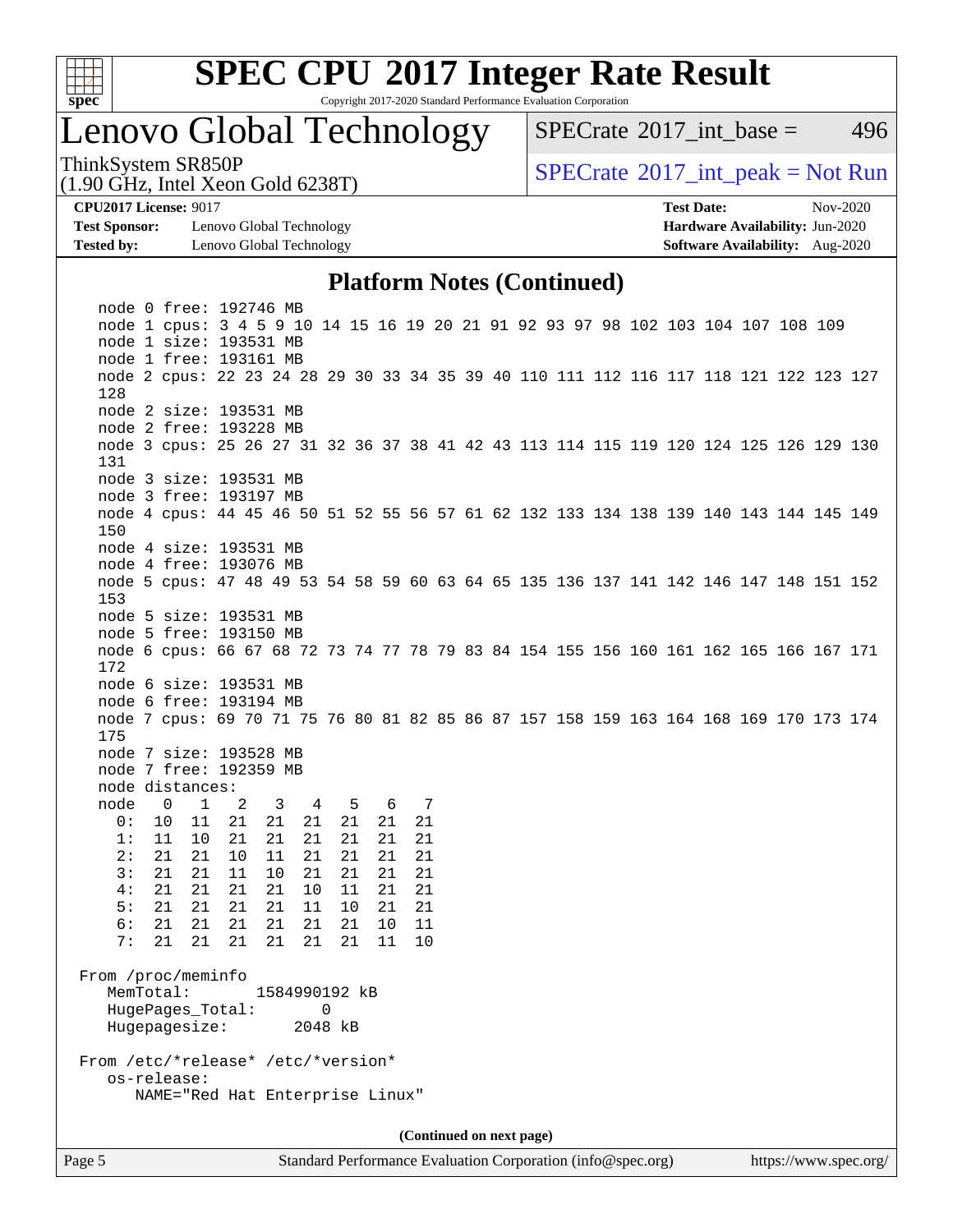

Copyright 2017-2020 Standard Performance Evaluation Corporation

### Lenovo Global Technology

[SPECrate](http://www.spec.org/auto/cpu2017/Docs/result-fields.html#SPECrate2017intbase)<sup>®</sup>2017 int base = 496

ThinkSystem SR850P<br>(1.00 CHz, Intel Year Gald 6228T) [SPECrate](http://www.spec.org/auto/cpu2017/Docs/result-fields.html#SPECrate2017intpeak)®[2017\\_int\\_peak = N](http://www.spec.org/auto/cpu2017/Docs/result-fields.html#SPECrate2017intpeak)ot Run

**[Test Sponsor:](http://www.spec.org/auto/cpu2017/Docs/result-fields.html#TestSponsor)** Lenovo Global Technology **[Hardware Availability:](http://www.spec.org/auto/cpu2017/Docs/result-fields.html#HardwareAvailability)** Jun-2020 **[Tested by:](http://www.spec.org/auto/cpu2017/Docs/result-fields.html#Testedby)** Lenovo Global Technology **[Software Availability:](http://www.spec.org/auto/cpu2017/Docs/result-fields.html#SoftwareAvailability)** Aug-2020

(1.90 GHz, Intel Xeon Gold 6238T)

**[CPU2017 License:](http://www.spec.org/auto/cpu2017/Docs/result-fields.html#CPU2017License)** 9017 **[Test Date:](http://www.spec.org/auto/cpu2017/Docs/result-fields.html#TestDate)** Nov-2020

### **[Platform Notes \(Continued\)](http://www.spec.org/auto/cpu2017/Docs/result-fields.html#PlatformNotes)**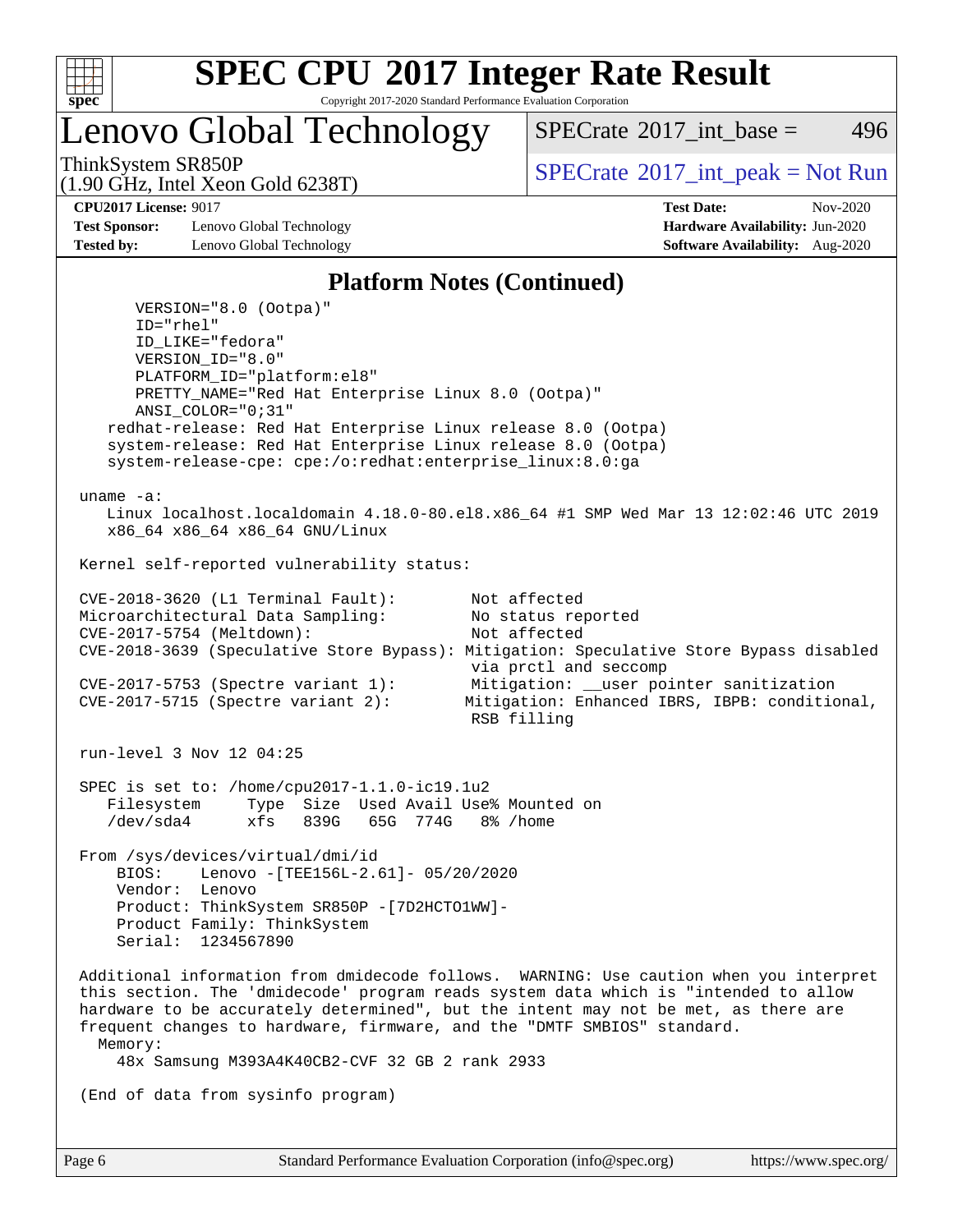

Copyright 2017-2020 Standard Performance Evaluation Corporation

Lenovo Global Technology

[SPECrate](http://www.spec.org/auto/cpu2017/Docs/result-fields.html#SPECrate2017intbase)<sup>®</sup>2017 int base = 496

(1.90 GHz, Intel Xeon Gold 6238T)

ThinkSystem SR850P<br>(1.00 CHz, Intel Year Gald 6229T)  $SPECTR$  [SPECrate](http://www.spec.org/auto/cpu2017/Docs/result-fields.html#SPECrate2017intpeak)®[2017\\_int\\_peak = N](http://www.spec.org/auto/cpu2017/Docs/result-fields.html#SPECrate2017intpeak)ot Run

**[Test Sponsor:](http://www.spec.org/auto/cpu2017/Docs/result-fields.html#TestSponsor)** Lenovo Global Technology **[Hardware Availability:](http://www.spec.org/auto/cpu2017/Docs/result-fields.html#HardwareAvailability)** Jun-2020 **[Tested by:](http://www.spec.org/auto/cpu2017/Docs/result-fields.html#Testedby)** Lenovo Global Technology **[Software Availability:](http://www.spec.org/auto/cpu2017/Docs/result-fields.html#SoftwareAvailability)** Aug-2020

**[CPU2017 License:](http://www.spec.org/auto/cpu2017/Docs/result-fields.html#CPU2017License)** 9017 **[Test Date:](http://www.spec.org/auto/cpu2017/Docs/result-fields.html#TestDate)** Nov-2020

### **[Platform Notes \(Continued\)](http://www.spec.org/auto/cpu2017/Docs/result-fields.html#PlatformNotes)**

 VERSION="8.0 (Ootpa)" ID="rhel" ID\_LIKE="fedora" VERSION\_ID="8.0" PLATFORM\_ID="platform:el8" PRETTY\_NAME="Red Hat Enterprise Linux 8.0 (Ootpa)" ANSI\_COLOR="0;31" redhat-release: Red Hat Enterprise Linux release 8.0 (Ootpa) system-release: Red Hat Enterprise Linux release 8.0 (Ootpa) system-release-cpe: cpe:/o:redhat:enterprise\_linux:8.0:ga uname -a: Linux localhost.localdomain 4.18.0-80.el8.x86\_64 #1 SMP Wed Mar 13 12:02:46 UTC 2019 x86\_64 x86\_64 x86\_64 GNU/Linux Kernel self-reported vulnerability status: CVE-2018-3620 (L1 Terminal Fault): Not affected Microarchitectural Data Sampling: No status reported<br>CVE-2017-5754 (Meltdown): Not affected  $CVE-2017-5754$  (Meltdown): CVE-2018-3639 (Speculative Store Bypass): Mitigation: Speculative Store Bypass disabled via prctl and seccomp CVE-2017-5753 (Spectre variant 1): Mitigation: \_\_user pointer sanitization<br>CVE-2017-5715 (Spectre variant 2): Mitigation: Enhanced IBRS, IBPB: condition Mitigation: Enhanced IBRS, IBPB: conditional, RSB filling run-level 3 Nov 12 04:25 SPEC is set to: /home/cpu2017-1.1.0-ic19.1u2 Filesystem Type Size Used Avail Use% Mounted on /dev/sda4 xfs 839G 65G 774G 8% /home From /sys/devices/virtual/dmi/id BIOS: Lenovo -[TEE156L-2.61]- 05/20/2020 Vendor: Lenovo Product: ThinkSystem SR850P -[7D2HCTO1WW]- Product Family: ThinkSystem Serial: 1234567890 Additional information from dmidecode follows. WARNING: Use caution when you interpret this section. The 'dmidecode' program reads system data which is "intended to allow hardware to be accurately determined", but the intent may not be met, as there are frequent changes to hardware, firmware, and the "DMTF SMBIOS" standard. Memory: 48x Samsung M393A4K40CB2-CVF 32 GB 2 rank 2933 (End of data from sysinfo program)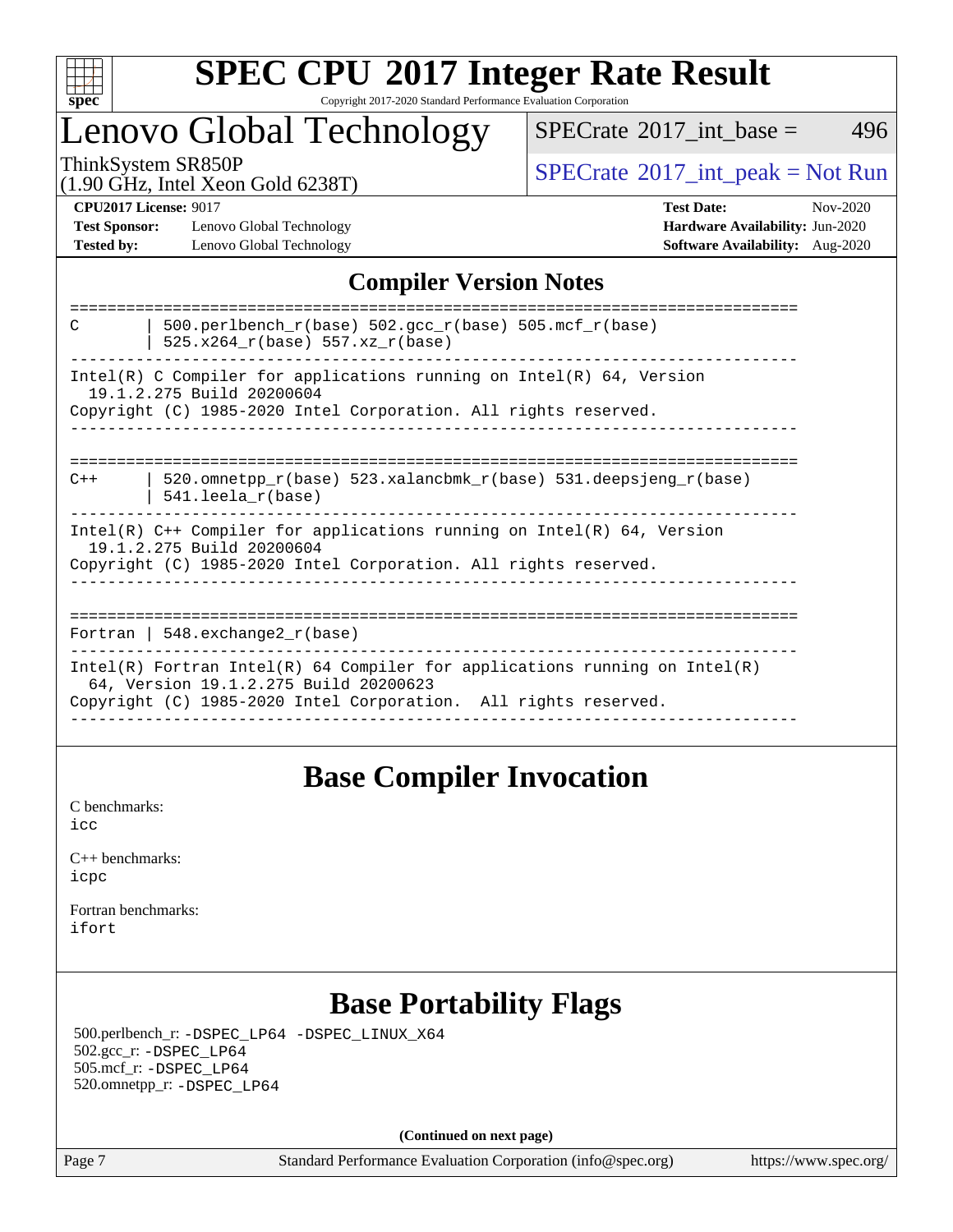

### **[SPEC CPU](http://www.spec.org/auto/cpu2017/Docs/result-fields.html#SPECCPU2017IntegerRateResult)[2017 Integer Rate Result](http://www.spec.org/auto/cpu2017/Docs/result-fields.html#SPECCPU2017IntegerRateResult)** Copyright 2017-2020 Standard Performance Evaluation Corporation

### Lenovo Global Technology

 $SPECTate$ <sup>®</sup>[2017\\_int\\_base =](http://www.spec.org/auto/cpu2017/Docs/result-fields.html#SPECrate2017intbase) 496

(1.90 GHz, Intel Xeon Gold 6238T)

ThinkSystem SR850P<br>(1.00 GHz, Intel Year Gold 6238T) [SPECrate](http://www.spec.org/auto/cpu2017/Docs/result-fields.html#SPECrate2017intpeak)®[2017\\_int\\_peak = N](http://www.spec.org/auto/cpu2017/Docs/result-fields.html#SPECrate2017intpeak)ot Run

**[Test Sponsor:](http://www.spec.org/auto/cpu2017/Docs/result-fields.html#TestSponsor)** Lenovo Global Technology **[Hardware Availability:](http://www.spec.org/auto/cpu2017/Docs/result-fields.html#HardwareAvailability)** Jun-2020 **[Tested by:](http://www.spec.org/auto/cpu2017/Docs/result-fields.html#Testedby)** Lenovo Global Technology **[Software Availability:](http://www.spec.org/auto/cpu2017/Docs/result-fields.html#SoftwareAvailability)** Aug-2020

**[CPU2017 License:](http://www.spec.org/auto/cpu2017/Docs/result-fields.html#CPU2017License)** 9017 **[Test Date:](http://www.spec.org/auto/cpu2017/Docs/result-fields.html#TestDate)** Nov-2020

### **[Compiler Version Notes](http://www.spec.org/auto/cpu2017/Docs/result-fields.html#CompilerVersionNotes)**

| 500.perlbench $r(base)$ 502.qcc $r(base)$ 505.mcf $r(base)$<br>C<br>525.x264 r(base) 557.xz r(base)                                                                                    |
|----------------------------------------------------------------------------------------------------------------------------------------------------------------------------------------|
| $Intel(R)$ C Compiler for applications running on $Intel(R)$ 64, Version<br>19.1.2.275 Build 20200604<br>Copyright (C) 1985-2020 Intel Corporation. All rights reserved.               |
| 520.omnetpp $r(base)$ 523.xalancbmk $r(base)$ 531.deepsjeng $r(base)$<br>$C++$<br>$541.$ leela r(base)                                                                                 |
| Intel(R) $C++$ Compiler for applications running on Intel(R) 64, Version<br>19.1.2.275 Build 20200604<br>Copyright (C) 1985-2020 Intel Corporation. All rights reserved.               |
| Fortran   $548$ . exchange $2r$ (base)                                                                                                                                                 |
| Intel(R) Fortran Intel(R) 64 Compiler for applications running on Intel(R)<br>64, Version 19.1.2.275 Build 20200623<br>Copyright (C) 1985-2020 Intel Corporation. All rights reserved. |

### **[Base Compiler Invocation](http://www.spec.org/auto/cpu2017/Docs/result-fields.html#BaseCompilerInvocation)**

[C benchmarks](http://www.spec.org/auto/cpu2017/Docs/result-fields.html#Cbenchmarks): [icc](http://www.spec.org/cpu2017/results/res2020q4/cpu2017-20201123-24459.flags.html#user_CCbase_intel_icc_66fc1ee009f7361af1fbd72ca7dcefbb700085f36577c54f309893dd4ec40d12360134090235512931783d35fd58c0460139e722d5067c5574d8eaf2b3e37e92)

| $C_{++}$ benchmarks: |  |
|----------------------|--|
| icpc                 |  |

[Fortran benchmarks](http://www.spec.org/auto/cpu2017/Docs/result-fields.html#Fortranbenchmarks): [ifort](http://www.spec.org/cpu2017/results/res2020q4/cpu2017-20201123-24459.flags.html#user_FCbase_intel_ifort_8111460550e3ca792625aed983ce982f94888b8b503583aa7ba2b8303487b4d8a21a13e7191a45c5fd58ff318f48f9492884d4413fa793fd88dd292cad7027ca)

### **[Base Portability Flags](http://www.spec.org/auto/cpu2017/Docs/result-fields.html#BasePortabilityFlags)**

 500.perlbench\_r: [-DSPEC\\_LP64](http://www.spec.org/cpu2017/results/res2020q4/cpu2017-20201123-24459.flags.html#b500.perlbench_r_basePORTABILITY_DSPEC_LP64) [-DSPEC\\_LINUX\\_X64](http://www.spec.org/cpu2017/results/res2020q4/cpu2017-20201123-24459.flags.html#b500.perlbench_r_baseCPORTABILITY_DSPEC_LINUX_X64) 502.gcc\_r: [-DSPEC\\_LP64](http://www.spec.org/cpu2017/results/res2020q4/cpu2017-20201123-24459.flags.html#suite_basePORTABILITY502_gcc_r_DSPEC_LP64) 505.mcf\_r: [-DSPEC\\_LP64](http://www.spec.org/cpu2017/results/res2020q4/cpu2017-20201123-24459.flags.html#suite_basePORTABILITY505_mcf_r_DSPEC_LP64) 520.omnetpp\_r: [-DSPEC\\_LP64](http://www.spec.org/cpu2017/results/res2020q4/cpu2017-20201123-24459.flags.html#suite_basePORTABILITY520_omnetpp_r_DSPEC_LP64)

**(Continued on next page)**

Page 7 Standard Performance Evaluation Corporation [\(info@spec.org\)](mailto:info@spec.org) <https://www.spec.org/>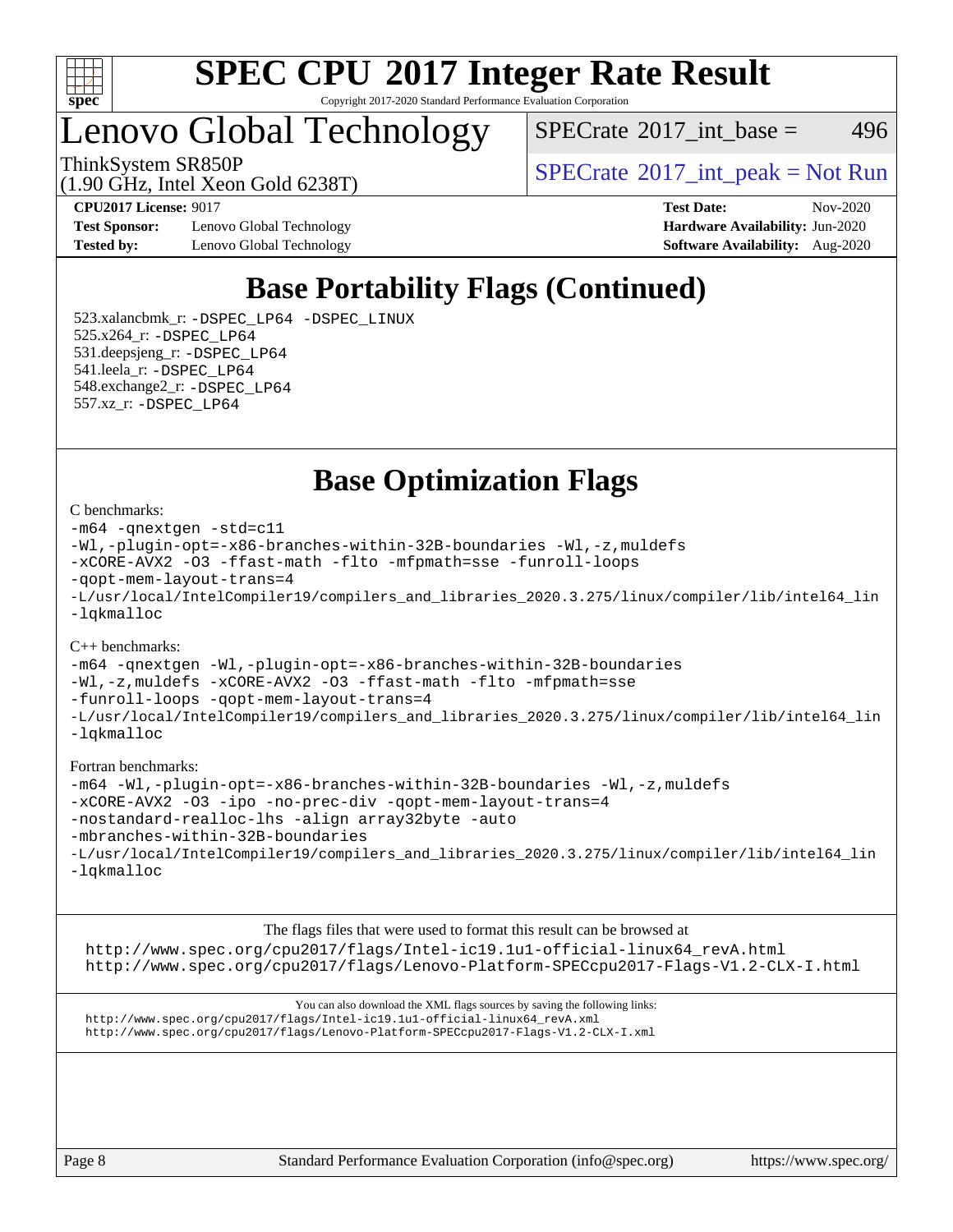

Copyright 2017-2020 Standard Performance Evaluation Corporation

Lenovo Global Technology

 $SPECTate$ <sup>®</sup>[2017\\_int\\_base =](http://www.spec.org/auto/cpu2017/Docs/result-fields.html#SPECrate2017intbase) 496

(1.90 GHz, Intel Xeon Gold 6238T)

ThinkSystem SR850P<br>(1.00 CHz, Intel Year Gald 6229T)  $SPECTR$  [SPECrate](http://www.spec.org/auto/cpu2017/Docs/result-fields.html#SPECrate2017intpeak)®[2017\\_int\\_peak = N](http://www.spec.org/auto/cpu2017/Docs/result-fields.html#SPECrate2017intpeak)ot Run

**[Test Sponsor:](http://www.spec.org/auto/cpu2017/Docs/result-fields.html#TestSponsor)** Lenovo Global Technology **[Hardware Availability:](http://www.spec.org/auto/cpu2017/Docs/result-fields.html#HardwareAvailability)** Jun-2020 **[Tested by:](http://www.spec.org/auto/cpu2017/Docs/result-fields.html#Testedby)** Lenovo Global Technology **[Software Availability:](http://www.spec.org/auto/cpu2017/Docs/result-fields.html#SoftwareAvailability)** Aug-2020

**[CPU2017 License:](http://www.spec.org/auto/cpu2017/Docs/result-fields.html#CPU2017License)** 9017 **[Test Date:](http://www.spec.org/auto/cpu2017/Docs/result-fields.html#TestDate)** Nov-2020

### **[Base Portability Flags \(Continued\)](http://www.spec.org/auto/cpu2017/Docs/result-fields.html#BasePortabilityFlags)**

 523.xalancbmk\_r: [-DSPEC\\_LP64](http://www.spec.org/cpu2017/results/res2020q4/cpu2017-20201123-24459.flags.html#suite_basePORTABILITY523_xalancbmk_r_DSPEC_LP64) [-DSPEC\\_LINUX](http://www.spec.org/cpu2017/results/res2020q4/cpu2017-20201123-24459.flags.html#b523.xalancbmk_r_baseCXXPORTABILITY_DSPEC_LINUX) 525.x264\_r: [-DSPEC\\_LP64](http://www.spec.org/cpu2017/results/res2020q4/cpu2017-20201123-24459.flags.html#suite_basePORTABILITY525_x264_r_DSPEC_LP64) 531.deepsjeng\_r: [-DSPEC\\_LP64](http://www.spec.org/cpu2017/results/res2020q4/cpu2017-20201123-24459.flags.html#suite_basePORTABILITY531_deepsjeng_r_DSPEC_LP64) 541.leela\_r: [-DSPEC\\_LP64](http://www.spec.org/cpu2017/results/res2020q4/cpu2017-20201123-24459.flags.html#suite_basePORTABILITY541_leela_r_DSPEC_LP64) 548.exchange2\_r: [-DSPEC\\_LP64](http://www.spec.org/cpu2017/results/res2020q4/cpu2017-20201123-24459.flags.html#suite_basePORTABILITY548_exchange2_r_DSPEC_LP64) 557.xz\_r: [-DSPEC\\_LP64](http://www.spec.org/cpu2017/results/res2020q4/cpu2017-20201123-24459.flags.html#suite_basePORTABILITY557_xz_r_DSPEC_LP64)

**[Base Optimization Flags](http://www.spec.org/auto/cpu2017/Docs/result-fields.html#BaseOptimizationFlags)**

#### [C benchmarks](http://www.spec.org/auto/cpu2017/Docs/result-fields.html#Cbenchmarks):

[-m64](http://www.spec.org/cpu2017/results/res2020q4/cpu2017-20201123-24459.flags.html#user_CCbase_m64-icc) [-qnextgen](http://www.spec.org/cpu2017/results/res2020q4/cpu2017-20201123-24459.flags.html#user_CCbase_f-qnextgen) [-std=c11](http://www.spec.org/cpu2017/results/res2020q4/cpu2017-20201123-24459.flags.html#user_CCbase_std-icc-std_0e1c27790398a4642dfca32ffe6c27b5796f9c2d2676156f2e42c9c44eaad0c049b1cdb667a270c34d979996257aeb8fc440bfb01818dbc9357bd9d174cb8524) [-Wl,-plugin-opt=-x86-branches-within-32B-boundaries](http://www.spec.org/cpu2017/results/res2020q4/cpu2017-20201123-24459.flags.html#user_CCbase_f-x86-branches-within-32B-boundaries_0098b4e4317ae60947b7b728078a624952a08ac37a3c797dfb4ffeb399e0c61a9dd0f2f44ce917e9361fb9076ccb15e7824594512dd315205382d84209e912f3) [-Wl,-z,muldefs](http://www.spec.org/cpu2017/results/res2020q4/cpu2017-20201123-24459.flags.html#user_CCbase_link_force_multiple1_b4cbdb97b34bdee9ceefcfe54f4c8ea74255f0b02a4b23e853cdb0e18eb4525ac79b5a88067c842dd0ee6996c24547a27a4b99331201badda8798ef8a743f577) [-xCORE-AVX2](http://www.spec.org/cpu2017/results/res2020q4/cpu2017-20201123-24459.flags.html#user_CCbase_f-xCORE-AVX2) [-O3](http://www.spec.org/cpu2017/results/res2020q4/cpu2017-20201123-24459.flags.html#user_CCbase_f-O3) [-ffast-math](http://www.spec.org/cpu2017/results/res2020q4/cpu2017-20201123-24459.flags.html#user_CCbase_f-ffast-math) [-flto](http://www.spec.org/cpu2017/results/res2020q4/cpu2017-20201123-24459.flags.html#user_CCbase_f-flto) [-mfpmath=sse](http://www.spec.org/cpu2017/results/res2020q4/cpu2017-20201123-24459.flags.html#user_CCbase_f-mfpmath_70eb8fac26bde974f8ab713bc9086c5621c0b8d2f6c86f38af0bd7062540daf19db5f3a066d8c6684be05d84c9b6322eb3b5be6619d967835195b93d6c02afa1) [-funroll-loops](http://www.spec.org/cpu2017/results/res2020q4/cpu2017-20201123-24459.flags.html#user_CCbase_f-funroll-loops) [-qopt-mem-layout-trans=4](http://www.spec.org/cpu2017/results/res2020q4/cpu2017-20201123-24459.flags.html#user_CCbase_f-qopt-mem-layout-trans_fa39e755916c150a61361b7846f310bcdf6f04e385ef281cadf3647acec3f0ae266d1a1d22d972a7087a248fd4e6ca390a3634700869573d231a252c784941a8) [-L/usr/local/IntelCompiler19/compilers\\_and\\_libraries\\_2020.3.275/linux/compiler/lib/intel64\\_lin](http://www.spec.org/cpu2017/results/res2020q4/cpu2017-20201123-24459.flags.html#user_CCbase_linkpath_6eb3b1b8be403820338b5b82e7a1c217a861a8962ac718a6253be1483b50620487664a39a847caf560d84a6b8bab7cca33d9f414525a12ede1e9473db34a3d08) [-lqkmalloc](http://www.spec.org/cpu2017/results/res2020q4/cpu2017-20201123-24459.flags.html#user_CCbase_qkmalloc_link_lib_79a818439969f771c6bc311cfd333c00fc099dad35c030f5aab9dda831713d2015205805422f83de8875488a2991c0a156aaa600e1f9138f8fc37004abc96dc5)

#### [C++ benchmarks](http://www.spec.org/auto/cpu2017/Docs/result-fields.html#CXXbenchmarks):

[-m64](http://www.spec.org/cpu2017/results/res2020q4/cpu2017-20201123-24459.flags.html#user_CXXbase_m64-icc) [-qnextgen](http://www.spec.org/cpu2017/results/res2020q4/cpu2017-20201123-24459.flags.html#user_CXXbase_f-qnextgen) [-Wl,-plugin-opt=-x86-branches-within-32B-boundaries](http://www.spec.org/cpu2017/results/res2020q4/cpu2017-20201123-24459.flags.html#user_CXXbase_f-x86-branches-within-32B-boundaries_0098b4e4317ae60947b7b728078a624952a08ac37a3c797dfb4ffeb399e0c61a9dd0f2f44ce917e9361fb9076ccb15e7824594512dd315205382d84209e912f3) [-Wl,-z,muldefs](http://www.spec.org/cpu2017/results/res2020q4/cpu2017-20201123-24459.flags.html#user_CXXbase_link_force_multiple1_b4cbdb97b34bdee9ceefcfe54f4c8ea74255f0b02a4b23e853cdb0e18eb4525ac79b5a88067c842dd0ee6996c24547a27a4b99331201badda8798ef8a743f577) [-xCORE-AVX2](http://www.spec.org/cpu2017/results/res2020q4/cpu2017-20201123-24459.flags.html#user_CXXbase_f-xCORE-AVX2) [-O3](http://www.spec.org/cpu2017/results/res2020q4/cpu2017-20201123-24459.flags.html#user_CXXbase_f-O3) [-ffast-math](http://www.spec.org/cpu2017/results/res2020q4/cpu2017-20201123-24459.flags.html#user_CXXbase_f-ffast-math) [-flto](http://www.spec.org/cpu2017/results/res2020q4/cpu2017-20201123-24459.flags.html#user_CXXbase_f-flto) [-mfpmath=sse](http://www.spec.org/cpu2017/results/res2020q4/cpu2017-20201123-24459.flags.html#user_CXXbase_f-mfpmath_70eb8fac26bde974f8ab713bc9086c5621c0b8d2f6c86f38af0bd7062540daf19db5f3a066d8c6684be05d84c9b6322eb3b5be6619d967835195b93d6c02afa1) [-funroll-loops](http://www.spec.org/cpu2017/results/res2020q4/cpu2017-20201123-24459.flags.html#user_CXXbase_f-funroll-loops) [-qopt-mem-layout-trans=4](http://www.spec.org/cpu2017/results/res2020q4/cpu2017-20201123-24459.flags.html#user_CXXbase_f-qopt-mem-layout-trans_fa39e755916c150a61361b7846f310bcdf6f04e385ef281cadf3647acec3f0ae266d1a1d22d972a7087a248fd4e6ca390a3634700869573d231a252c784941a8) [-L/usr/local/IntelCompiler19/compilers\\_and\\_libraries\\_2020.3.275/linux/compiler/lib/intel64\\_lin](http://www.spec.org/cpu2017/results/res2020q4/cpu2017-20201123-24459.flags.html#user_CXXbase_linkpath_6eb3b1b8be403820338b5b82e7a1c217a861a8962ac718a6253be1483b50620487664a39a847caf560d84a6b8bab7cca33d9f414525a12ede1e9473db34a3d08) [-lqkmalloc](http://www.spec.org/cpu2017/results/res2020q4/cpu2017-20201123-24459.flags.html#user_CXXbase_qkmalloc_link_lib_79a818439969f771c6bc311cfd333c00fc099dad35c030f5aab9dda831713d2015205805422f83de8875488a2991c0a156aaa600e1f9138f8fc37004abc96dc5)

#### [Fortran benchmarks:](http://www.spec.org/auto/cpu2017/Docs/result-fields.html#Fortranbenchmarks)

[-m64](http://www.spec.org/cpu2017/results/res2020q4/cpu2017-20201123-24459.flags.html#user_FCbase_m64-icc) [-Wl,-plugin-opt=-x86-branches-within-32B-boundaries](http://www.spec.org/cpu2017/results/res2020q4/cpu2017-20201123-24459.flags.html#user_FCbase_f-x86-branches-within-32B-boundaries_0098b4e4317ae60947b7b728078a624952a08ac37a3c797dfb4ffeb399e0c61a9dd0f2f44ce917e9361fb9076ccb15e7824594512dd315205382d84209e912f3) [-Wl,-z,muldefs](http://www.spec.org/cpu2017/results/res2020q4/cpu2017-20201123-24459.flags.html#user_FCbase_link_force_multiple1_b4cbdb97b34bdee9ceefcfe54f4c8ea74255f0b02a4b23e853cdb0e18eb4525ac79b5a88067c842dd0ee6996c24547a27a4b99331201badda8798ef8a743f577) [-xCORE-AVX2](http://www.spec.org/cpu2017/results/res2020q4/cpu2017-20201123-24459.flags.html#user_FCbase_f-xCORE-AVX2) [-O3](http://www.spec.org/cpu2017/results/res2020q4/cpu2017-20201123-24459.flags.html#user_FCbase_f-O3) [-ipo](http://www.spec.org/cpu2017/results/res2020q4/cpu2017-20201123-24459.flags.html#user_FCbase_f-ipo) [-no-prec-div](http://www.spec.org/cpu2017/results/res2020q4/cpu2017-20201123-24459.flags.html#user_FCbase_f-no-prec-div) [-qopt-mem-layout-trans=4](http://www.spec.org/cpu2017/results/res2020q4/cpu2017-20201123-24459.flags.html#user_FCbase_f-qopt-mem-layout-trans_fa39e755916c150a61361b7846f310bcdf6f04e385ef281cadf3647acec3f0ae266d1a1d22d972a7087a248fd4e6ca390a3634700869573d231a252c784941a8) [-nostandard-realloc-lhs](http://www.spec.org/cpu2017/results/res2020q4/cpu2017-20201123-24459.flags.html#user_FCbase_f_2003_std_realloc_82b4557e90729c0f113870c07e44d33d6f5a304b4f63d4c15d2d0f1fab99f5daaed73bdb9275d9ae411527f28b936061aa8b9c8f2d63842963b95c9dd6426b8a) [-align array32byte](http://www.spec.org/cpu2017/results/res2020q4/cpu2017-20201123-24459.flags.html#user_FCbase_align_array32byte_b982fe038af199962ba9a80c053b8342c548c85b40b8e86eb3cc33dee0d7986a4af373ac2d51c3f7cf710a18d62fdce2948f201cd044323541f22fc0fffc51b6) [-auto](http://www.spec.org/cpu2017/results/res2020q4/cpu2017-20201123-24459.flags.html#user_FCbase_f-auto) [-mbranches-within-32B-boundaries](http://www.spec.org/cpu2017/results/res2020q4/cpu2017-20201123-24459.flags.html#user_FCbase_f-mbranches-within-32B-boundaries) [-L/usr/local/IntelCompiler19/compilers\\_and\\_libraries\\_2020.3.275/linux/compiler/lib/intel64\\_lin](http://www.spec.org/cpu2017/results/res2020q4/cpu2017-20201123-24459.flags.html#user_FCbase_linkpath_6eb3b1b8be403820338b5b82e7a1c217a861a8962ac718a6253be1483b50620487664a39a847caf560d84a6b8bab7cca33d9f414525a12ede1e9473db34a3d08) [-lqkmalloc](http://www.spec.org/cpu2017/results/res2020q4/cpu2017-20201123-24459.flags.html#user_FCbase_qkmalloc_link_lib_79a818439969f771c6bc311cfd333c00fc099dad35c030f5aab9dda831713d2015205805422f83de8875488a2991c0a156aaa600e1f9138f8fc37004abc96dc5)

[The flags files that were used to format this result can be browsed at](tmsearch) [http://www.spec.org/cpu2017/flags/Intel-ic19.1u1-official-linux64\\_revA.html](http://www.spec.org/cpu2017/flags/Intel-ic19.1u1-official-linux64_revA.html) <http://www.spec.org/cpu2017/flags/Lenovo-Platform-SPECcpu2017-Flags-V1.2-CLX-I.html>

[You can also download the XML flags sources by saving the following links:](tmsearch) [http://www.spec.org/cpu2017/flags/Intel-ic19.1u1-official-linux64\\_revA.xml](http://www.spec.org/cpu2017/flags/Intel-ic19.1u1-official-linux64_revA.xml) <http://www.spec.org/cpu2017/flags/Lenovo-Platform-SPECcpu2017-Flags-V1.2-CLX-I.xml>